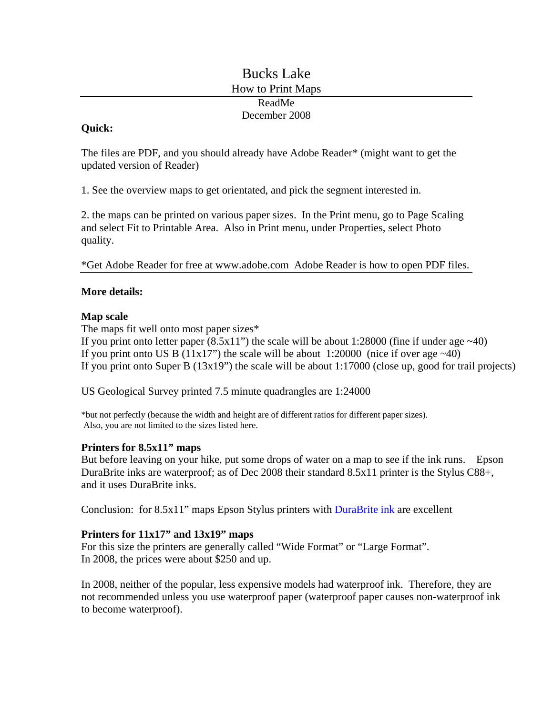# Bucks Lake How to Print Maps ReadMe December 2008

### **Quick:**

The files are PDF, and you should already have Adobe Reader\* (might want to get the updated version of Reader)

1. See the overview maps to get orientated, and pick the segment interested in.

2. the maps can be printed on various paper sizes. In the Print menu, go to Page Scaling and select Fit to Printable Area. Also in Print menu, under Properties, select Photo quality.

\*Get Adobe Reader for free at www.adobe.com Adobe Reader is how to open PDF files.

### **More details:**

### **Map scale**

The maps fit well onto most paper sizes\*

If you print onto letter paper  $(8.5x11)$  the scale will be about 1:28000 (fine if under age  $~40$ ) If you print onto US B (11x17") the scale will be about 1:20000 (nice if over age  $\sim$ 40) If you print onto Super B (13x19") the scale will be about 1:17000 (close up, good for trail projects)

US Geological Survey printed 7.5 minute quadrangles are 1:24000

\*but not perfectly (because the width and height are of different ratios for different paper sizes). Also, you are not limited to the sizes listed here.

#### **Printers for 8.5x11" maps**

But before leaving on your hike, put some drops of water on a map to see if the ink runs. Epson DuraBrite inks are waterproof; as of Dec 2008 their standard 8.5x11 printer is the Stylus C88+, and it uses DuraBrite inks.

Conclusion: for 8.5x11" maps Epson Stylus printers with DuraBrite ink are excellent

## **Printers for 11x17" and 13x19" maps**

For this size the printers are generally called "Wide Format" or "Large Format". In 2008, the prices were about \$250 and up.

In 2008, neither of the popular, less expensive models had waterproof ink. Therefore, they are not recommended unless you use waterproof paper (waterproof paper causes non-waterproof ink to become waterproof).